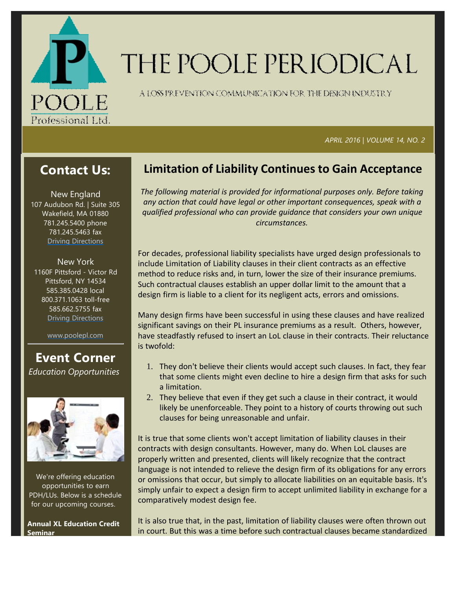

# THE POOLE PERIODICAL

A LOSS FREVENTION COMMUNICATION FOR THE DENGNINDUSTRY

#### *APRIL 2016 | VOLUME 14, NO. 2*

## **Contact Us:**

New England 107 Audubon Rd. | Suite 305 Wakefield, MA 01880 781.245.5400 phone 781.245.5463 fax Driving Directions

New York 1160F Pittsford ‐ Victor Rd Pittsford, NY 14534 585.385.0428 local 800.371.1063 toll‐free 585.662.5755 fax Driving Directions

www.poolepl.com

## **Event Corner** *Education Opportunities*



We're offering education opportunities to earn PDH/LUs. Below is a schedule for our upcoming courses.

**Annual XL Education Credit Seminar**

## **Limitation of Liability Continues to Gain Acceptance**

*The following material is provided for informational purposes only. Before taking any action that could have legal or other important consequences, speak with a qualified professional who can provide guidance that considers your own unique circumstances.*

For decades, professional liability specialists have urged design professionals to include Limitation of Liability clauses in their client contracts as an effective method to reduce risks and, in turn, lower the size of their insurance premiums. Such contractual clauses establish an upper dollar limit to the amount that a design firm is liable to a client for its negligent acts, errors and omissions.

Many design firms have been successful in using these clauses and have realized significant savings on their PL insurance premiums as a result. Others, however, have steadfastly refused to insert an LoL clause in their contracts. Their reluctance is twofold:

- 1. They don't believe their clients would accept such clauses. In fact, they fear that some clients might even decline to hire a design firm that asks for such a limitation.
- 2. They believe that even if they get such a clause in their contract, it would likely be unenforceable. They point to a history of courts throwing out such clauses for being unreasonable and unfair.

It is true that some clients won't accept limitation of liability clauses in their contracts with design consultants. However, many do. When LoL clauses are properly written and presented, clients will likely recognize that the contract language is not intended to relieve the design firm of its obligations for any errors or omissions that occur, but simply to allocate liabilities on an equitable basis. It's simply unfair to expect a design firm to accept unlimited liability in exchange for a comparatively modest design fee.

It is also true that, in the past, limitation of liability clauses were often thrown out in court. But this was a time before such contractual clauses became standardized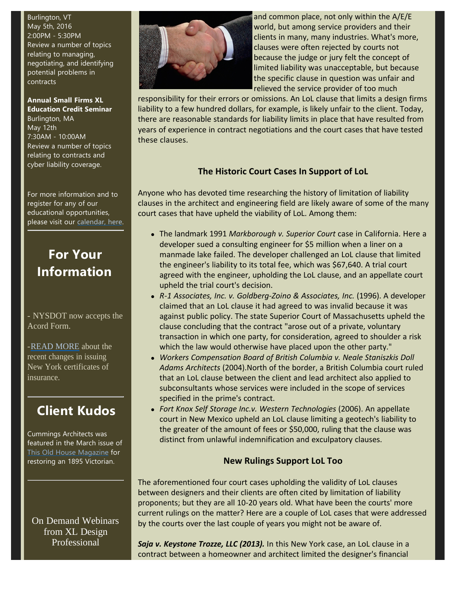Burlington, VT May 5th, 2016 2:00PM ‐ 5:30PM Review a number of topics relating to managing, negotiating, and identifying potential problems in contracts

**Annual Small Firms XL Education Credit Seminar** Burlington, MA May 12th 7:30AM ‐ 10:00AM Review a number of topics relating to contracts and cyber liability coverage.

For more information and to register for any of our educational opportunities, please visit our calendar, here.

# **For Your Information**

- NYSDOT now accepts the Acord Form.

-READ MORE about the recent changes in issuing New York certificates of insurance.

# **Client Kudos**

Cummings Architects was featured in the March issue of This Old House Magazine for restoring an 1895 Victorian.

On Demand Webinars from XL Design Professional



and common place, not only within the A/E/E world, but among service providers and their clients in many, many industries. What's more, clauses were often rejected by courts not because the judge or jury felt the concept of limited liability was unacceptable, but because the specific clause in question was unfair and relieved the service provider of too much

responsibility for their errors or omissions. An LoL clause that limits a design firms liability to a few hundred dollars, for example, is likely unfair to the client. Today, there are reasonable standards for liability limits in place that have resulted from years of experience in contract negotiations and the court cases that have tested these clauses.

## **The Historic Court Cases In Support of LoL**

Anyone who has devoted time researching the history of limitation of liability clauses in the architect and engineering field are likely aware of some of the many court cases that have upheld the viability of LoL. Among them:

- <sup>l</sup> The landmark 1991 *Markborough v. Superior Court* case in California. Here a developer sued a consulting engineer for \$5 million when a liner on a manmade lake failed. The developer challenged an LoL clause that limited the engineer's liability to its total fee, which was \$67,640. A trial court agreed with the engineer, upholding the LoL clause, and an appellate court upheld the trial court's decision.
- <sup>l</sup> *R‐1 Associates, Inc. v. Goldberg‐Zoino & Associates, Inc.* (1996). A developer claimed that an LoL clause it had agreed to was invalid because it was against public policy. The state Superior Court of Massachusetts upheld the clause concluding that the contract "arose out of a private, voluntary transaction in which one party, for consideration, agreed to shoulder a risk which the law would otherwise have placed upon the other party."
- **Workers Compensation Board of British Columbia v. Neale Staniszkis Doll** *Adams Architects* (2004).North of the border, a British Columbia court ruled that an LoL clause between the client and lead architect also applied to subconsultants whose services were included in the scope of services specified in the prime's contract.
- **· Fort Knox Self Storage Inc.v. Western Technologies (2006). An appellate** court in New Mexico upheld an LoL clause limiting a geotech's liability to the greater of the amount of fees or \$50,000, ruling that the clause was distinct from unlawful indemnification and exculpatory clauses.

### **New Rulings Support LoL Too**

The aforementioned four court cases upholding the validity of LoL clauses between designers and their clients are often cited by limitation of liability proponents; but they are all 10‐20 years old. What have been the courts' more current rulings on the matter? Here are a couple of LoL cases that were addressed by the courts over the last couple of years you might not be aware of.

*Saja v. Keystone Trozze, LLC (2013).* In this New York case, an LoL clause in a contract between a homeowner and architect limited the designer's financial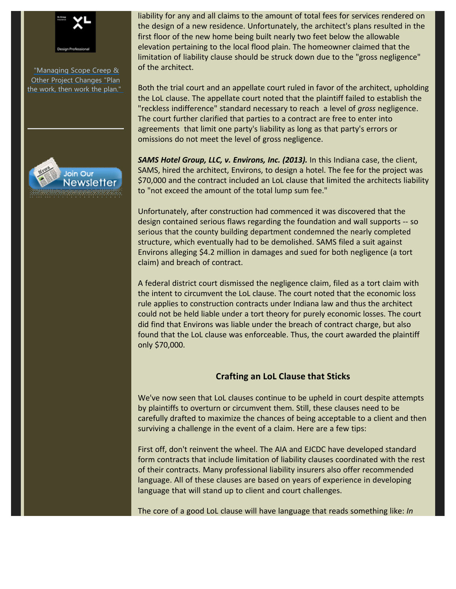

"Managing Scope Creep & **Other Project Changes "Plan** the work, then work the plan."



liability for any and all claims to the amount of total fees for services rendered on the design of a new residence. Unfortunately, the architect's plans resulted in the first floor of the new home being built nearly two feet below the allowable elevation pertaining to the local flood plain. The homeowner claimed that the limitation of liability clause should be struck down due to the "gross negligence" of the architect.

Both the trial court and an appellate court ruled in favor of the architect, upholding the LoL clause. The appellate court noted that the plaintiff failed to establish the "reckless indifference" standard necessary to reach a level of *gross* negligence. The court further clarified that parties to a contract are free to enter into agreements that limit one party's liability as long as that party's errors or omissions do not meet the level of gross negligence.

*SAMS Hotel Group, LLC, v. Environs, Inc. (2013).* In this Indiana case, the client, SAMS, hired the architect, Environs, to design a hotel. The fee for the project was \$70,000 and the contract included an LoL clause that limited the architects liability to "not exceed the amount of the total lump sum fee."

Unfortunately, after construction had commenced it was discovered that the design contained serious flaws regarding the foundation and wall supports ‐‐ so serious that the county building department condemned the nearly completed structure, which eventually had to be demolished. SAMS filed a suit against Environs alleging \$4.2 million in damages and sued for both negligence (a tort claim) and breach of contract.

A federal district court dismissed the negligence claim, filed as a tort claim with the intent to circumvent the LoL clause. The court noted that the economic loss rule applies to construction contracts under Indiana law and thus the architect could not be held liable under a tort theory for purely economic losses. The court did find that Environs was liable under the breach of contract charge, but also found that the LoL clause was enforceable. Thus, the court awarded the plaintiff only \$70,000.

#### **Crafting an LoL Clause that Sticks**

We've now seen that LoL clauses continue to be upheld in court despite attempts by plaintiffs to overturn or circumvent them. Still, these clauses need to be carefully drafted to maximize the chances of being acceptable to a client and then surviving a challenge in the event of a claim. Here are a few tips:

First off, don't reinvent the wheel. The AIA and EJCDC have developed standard form contracts that include limitation of liability clauses coordinated with the rest of their contracts. Many professional liability insurers also offer recommended language. All of these clauses are based on years of experience in developing language that will stand up to client and court challenges.

The core of a good LoL clause will have language that reads something like: *In*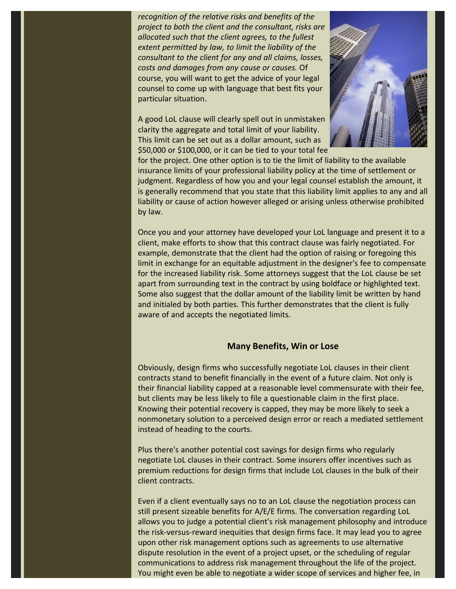*recognition of the relative risks and benefits of the project to both the client and the consultant, risks are allocated such that the client agrees, to the fullest extent permitted by law, to limit the liability of the consultant to the client for any and all claims, losses, costs and damages from any cause or causes.* Of course, you will want to get the advice of your legal counsel to come up with language that best fits your particular situation.

A good LoL clause will clearly spell out in unmistaken clarity the aggregate and total limit of your liability. This limit can be set out as a dollar amount, such as \$50,000 or \$100,000, or it can be tied to your total fee



for the project. One other option is to tie the limit of liability to the available insurance limits of your professional liability policy at the time of settlement or judgment. Regardless of how you and your legal counsel establish the amount, it is generally recommend that you state that this liability limit applies to any and all liability or cause of action however alleged or arising unless otherwise prohibited by law.

Once you and your attorney have developed your LoL language and present it to a client, make efforts to show that this contract clause was fairly negotiated. For example, demonstrate that the client had the option of raising or foregoing this limit in exchange for an equitable adjustment in the designer's fee to compensate for the increased liability risk. Some attorneys suggest that the LoL clause be set apart from surrounding text in the contract by using boldface or highlighted text. Some also suggest that the dollar amount of the liability limit be written by hand and initialed by both parties. This further demonstrates that the client is fully aware of and accepts the negotiated limits.

#### **Many Benefits, Win or Lose**

Obviously, design firms who successfully negotiate LoL clauses in their client contracts stand to benefit financially in the event of a future claim. Not only is their financial liability capped at a reasonable level commensurate with their fee, but clients may be less likely to file a questionable claim in the first place. Knowing their potential recovery is capped, they may be more likely to seek a nonmonetary solution to a perceived design error or reach a mediated settlement instead of heading to the courts.

Plus there's another potential cost savings for design firms who regularly negotiate LoL clauses in their contract. Some insurers offer incentives such as premium reductions for design firms that include LoL clauses in the bulk of their client contracts.

Even if a client eventually says no to an LoL clause the negotiation process can still present sizeable benefits for A/E/E firms. The conversation regarding LoL allows you to judge a potential client's risk management philosophy and introduce the risk‐versus‐reward inequities that design firms face. It may lead you to agree upon other risk management options such as agreements to use alternative dispute resolution in the event of a project upset, or the scheduling of regular communications to address risk management throughout the life of the project. You might even be able to negotiate a wider scope of services and higher fee, in